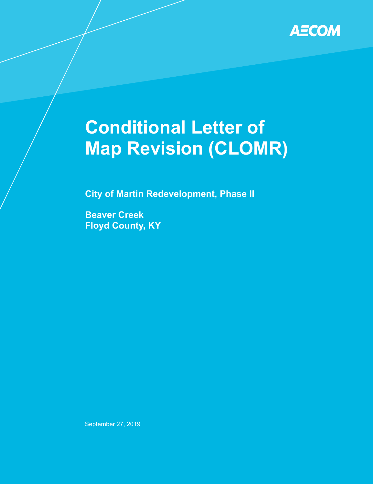

# **Map Revision (CLOMR) Conditional Letter of**

**City of Martin Redevelopment, Phase II** 

**Beaver Creek Floyd County, KY** 

September 27, 2019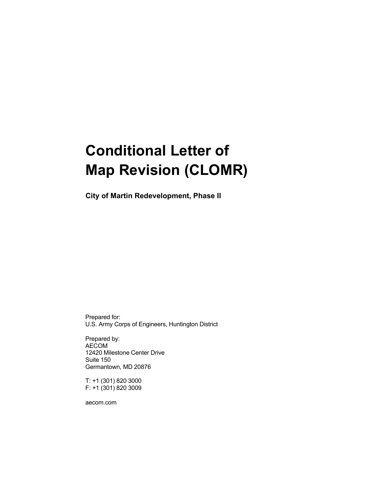## **Conditional Letter of Map Revision (CLOMR)**

 **City of Martin Redevelopment, Phase II** 

 U.S. Army Corps of Engineers, Huntington District Prepared for:

 Germantown, MD 20876 Prepared by: AECOM 12420 Milestone Center Drive Suite 150

 T: +1 (301) 820 3000 F: +1 (301) 820 3009

[aecom.com](https://aecom.com)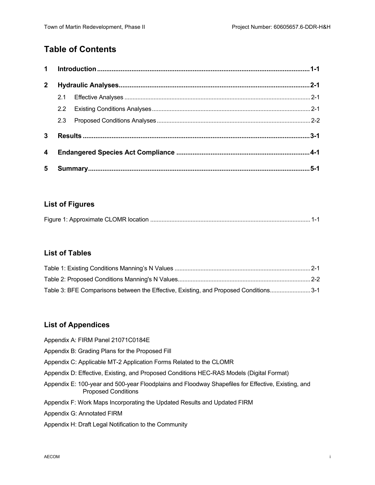## **Table of Contents**

| 1            |               |  |      |  |
|--------------|---------------|--|------|--|
| $\mathbf{2}$ |               |  |      |  |
|              | 2.1           |  |      |  |
|              | $2.2^{\circ}$ |  |      |  |
|              | 2.3           |  |      |  |
| 3            |               |  |      |  |
| 4            |               |  |      |  |
| 5            |               |  | .5-1 |  |

#### **List of Figures**

|--|

#### **List of Tables**

| Table 3: BFE Comparisons between the Effective, Existing, and Proposed Conditions3-1 |  |
|--------------------------------------------------------------------------------------|--|

#### **List of Appendices**

- Appendix A: FIRM Panel 21071C0184E
- Appendix B: Grading Plans for the Proposed Fill
- Appendix C: Applicable MT-2 Application Forms Related to the CLOMR
- Appendix D: Effective, Existing, and Proposed Conditions HEC-RAS Models (Digital Format)
- Appendix E: 100-year and 500-year Floodplains and Floodway Shapefiles for Effective, Existing, and Proposed Conditions
- Appendix F: Work Maps Incorporating the Updated Results and Updated FIRM
- Appendix G: Annotated FIRM
- Appendix H: Draft Legal Notification to the Community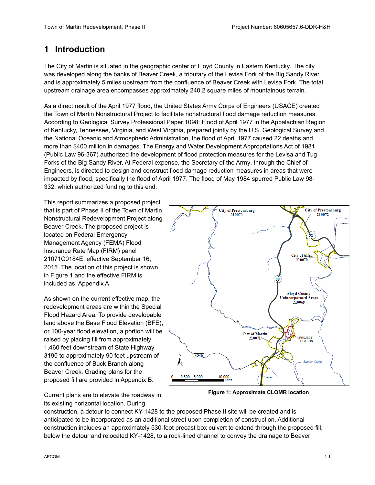## <span id="page-3-0"></span>**1 Introduction**

 The City of Martin is situated in the geographic center of Floyd County in Eastern Kentucky. The city was developed along the banks of Beaver Creek, a tributary of the Levisa Fork of the Big Sandy River, and is approximately 5 miles upstream from the confluence of Beaver Creek with Levisa Fork. The total upstream drainage area encompasses approximately 240.2 square miles of mountainous terrain.

 As a direct result of the April 1977 flood, the United States Army Corps of Engineers (USACE) created the Town of Martin Nonstructural Project to facilitate nonstructural flood damage reduction measures. According to Geological Survey Professional Paper 1098: Flood of April 1977 in the Appalachian Region of Kentucky, Tennessee, Virginia, and West Virginia, prepared jointly by the U.S. Geological Survey and the National Oceanic and Atmospheric Administration, the flood of April 1977 caused 22 deaths and more than \$400 million in damages. The Energy and Water Development Appropriations Act of 1981 (Public Law 96-367) authorized the development of flood protection measures for the Levisa and Tug Forks of the Big Sandy River. At Federal expense, the Secretary of the Army, through the Chief of Engineers, is directed to design and construct flood damage reduction measures in areas that were impacted by flood, specifically the flood of April 1977. The flood of May 1984 spurred Public Law 98- 332, which authorized funding to this end.

 This report summarizes a proposed project that is part of Phase II of the Town of Martin Beaver Creek. The proposed project is Management Agency (FEMA) Flood Insurance Rate Map (FIRM) panel 21071C0184E, effective September 16, 2015. The location of this project is shown in Figure 1 and the effective FIRM is included as Appendix A. Nonstructural Redevelopment Project along located on Federal Emergency

 redevelopment areas are within the Special or 100-year flood elevation, a portion will be raised by placing fill from approximately 1,460 feet downstream of State Highway 3190 to approximately 90 feet upstream of the confluence of Buck Branch along Beaver Creek. Grading plans for the As shown on the current effective map, the Flood Hazard Area. To provide developable land above the Base Flood Elevation (BFE), proposed fill are provided in Appendix B.



 **Figure 1: Approximate CLOMR location** Current plans are to elevate the roadway in its existing horizontal location. During

 construction, a detour to connect KY-1428 to the proposed Phase II site will be created and is anticipated to be incorporated as an additional street upon completion of construction. Additional construction includes an approximately 530-foot precast box culvert to extend through the proposed fill, below the detour and relocated KY-1428, to a rock-lined channel to convey the drainage to Beaver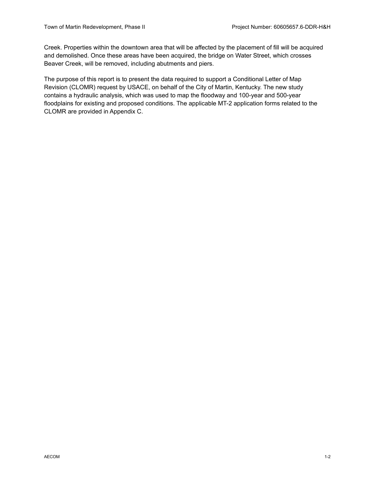Creek. Properties within the downtown area that will be affected by the placement of fill will be acquired and demolished. Once these areas have been acquired, the bridge on Water Street, which crosses Beaver Creek, will be removed, including abutments and piers.

 The purpose of this report is to present the data required to support a Conditional Letter of Map Revision (CLOMR) request by USACE, on behalf of the City of Martin, Kentucky. The new study contains a hydraulic analysis, which was used to map the floodway and 100-year and 500-year floodplains for existing and proposed conditions. The applicable MT-2 application forms related to the CLOMR are provided in Appendix C.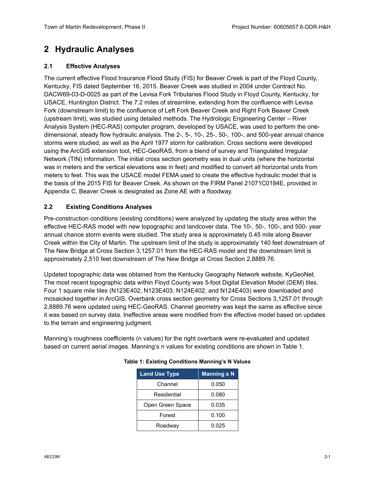## <span id="page-5-0"></span>**2 Hydraulic Analyses**

#### <span id="page-5-1"></span>**2.1 Effective Analyses**

 The current effective Flood Insurance Flood Study (FIS) for Beaver Creek is part of the Floyd County, Kentucky, FIS dated September 16, 2015. Beaver Creek was studied in 2004 under Contract No. DACW69-03-D-0025 as part of the Levisa Fork Tributaries Flood Study in Floyd County, Kentucky, for USACE, Huntington District. The 7.2 miles of streamline, extending from the confluence with Levisa Fork (downstream limit) to the confluence of Left Fork Beaver Creek and Right Fork Beaver Creek (upstream limit), was studied using detailed methods. The Hydrologic Engineering Center – River Analysis System (HEC-RAS) computer program, developed by USACE, was used to perform the one- dimensional, steady flow hydraulic analysis. The 2-, 5-, 10-, 25-, 50-, 100-, and 500-year annual chance storms were studied, as well as the April 1977 storm for calibration. Cross sections were developed using the ArcGIS extension tool, HEC-GeoRAS, from a blend of survey and Triangulated Irregular Network (TIN) information. The initial cross section geometry was in dual units (where the horizontal was in meters and the vertical elevations was in feet) and modified to convert all horizontal units from meters to feet. This was the USACE model FEMA used to create the effective hydraulic model that is the basis of the 2015 FIS for Beaver Creek. As shown on the FIRM Panel 21071C0184E, provided in Appendix C, Beaver Creek is designated as Zone AE with a floodway.

#### <span id="page-5-2"></span>**2.2 Existing Conditions Analyses**

 effective HEC-RAS model with new topographic and landcover data. The 10-, 50-, 100-, and 500- year annual chance storm events were studied. The study area is approximately 0.45 mile along Beaver Creek within the City of Martin. The upstream limit of the study is approximately 140 feet downstream of The New Bridge at Cross Section [3,1257.01](https://3,1257.01) from the HEC-RAS model and the downstream limit is approximately 2,510 feet downstream of The New Bridge at Cross Section [2,8889.76](https://2,8889.76). Pre-construction conditions (existing conditions) were analyzed by updating the study area within the

 Updated topographic data was obtained from the Kentucky Geography Network website, KyGeoNet. The most recent topographic data within Floyd County was 5-foot Digital Elevation Model (DEM) tiles. Four 1 square mile tiles (N123E402, N123E403, N124E402, and N124E403) were downloaded and mosaicked together in ArcGIS. Overbank cross section geometry for Cross Sections [3,1257.01](https://3,1257.01) through [2,8889.76](https://2,8889.76) were updated using HEC-GeoRAS. Channel geometry was kept the same as effective since it was based on survey data. Ineffective areas were modified from the effective model based on updates to the terrain and engineering judgment.

<span id="page-5-3"></span>to the terrain and engineering judgment.<br>Manning's roughness coefficients (n values) for the right overbank were re-evaluated and updated based on current aerial images. Manning's n values for existing conditions are shown in Table 1.

| <b>Land Use Type</b> | <b>Manning s N</b> |  |  |
|----------------------|--------------------|--|--|
| Channel              | 0.050              |  |  |
| Residential          | 0.080              |  |  |
| Open Green Space     | 0.035              |  |  |
| Forest               | 0.100              |  |  |
| Roadway              | 0.025              |  |  |

#### **Table 1: Existing Conditions Manning's N Values**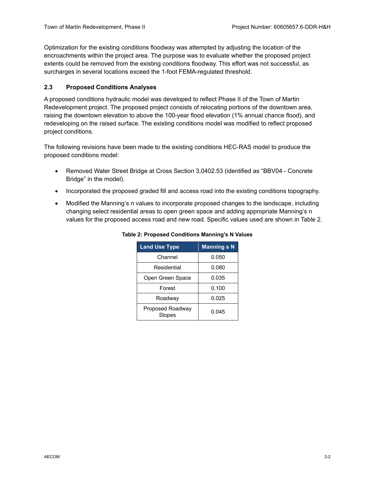Optimization for the existing conditions floodway was attempted by adjusting the location of the encroachments within the project area. The purpose was to evaluate whether the proposed project extents could be removed from the existing conditions floodway. This effort was not successful, as surcharges in several locations exceed the 1-foot FEMA-regulated threshold.

#### <span id="page-6-0"></span>**2.3 Proposed Conditions Analyses**

 A proposed conditions hydraulic model was developed to reflect Phase II of the Town of Martin Redevelopment project. The proposed project consists of relocating portions of the downtown area, raising the downtown elevation to above the 100-year flood elevation (1% annual chance flood), and redeveloping on the raised surface. The existing conditions model was modified to reflect proposed project conditions.

 The following revisions have been made to the existing conditions HEC-RAS model to produce the proposed conditions model:

- • Removed Water Street Bridge at Cross Section [3,0402.53](https://3,0402.53) (identified as "BBV04 Concrete Bridge" in the model).
- Incorporated the proposed graded fill and access road into the existing conditions topography.
- <span id="page-6-1"></span> changing select residential areas to open green space and adding appropriate Manning's n values for the proposed access road and new road. Specific values used are shown in Table 2. • Modified the Manning's n values to incorporate proposed changes to the landscape, including

| <b>Land Use Type</b>       | <b>Manning s N</b> |  |  |
|----------------------------|--------------------|--|--|
| Channel                    | 0.050              |  |  |
| Residential                | 0.080              |  |  |
| Open Green Space           | 0.035              |  |  |
| Forest                     | 0.100              |  |  |
| Roadway                    | 0.025              |  |  |
| Proposed Roadway<br>Slopes | 0.045              |  |  |

#### **Table 2: Proposed Conditions Manning's N Values**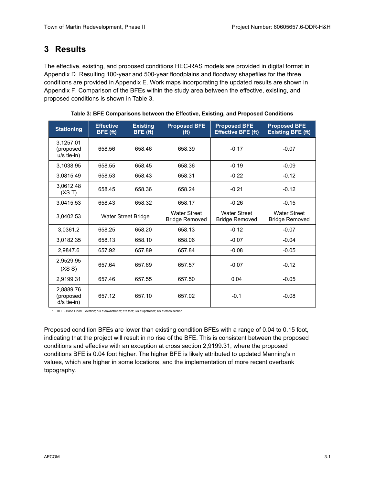## <span id="page-7-0"></span> **3 Results**

 The effective, existing, and proposed conditions HEC-RAS models are provided in digital format in Appendix D. Resulting 100-year and 500-year floodplains and floodway shapefiles for the three conditions are provided in Appendix E. Work maps incorporating the updated results are shown in Appendix F. Comparison of the BFEs within the study area between the effective, existing, and proposed conditions is shown in Table 3.

<span id="page-7-1"></span>

| <b>Stationing</b>                       | <b>Effective</b><br>BFE (ft) | <b>Existing</b><br>BFE (ft) | <b>Proposed BFE</b><br>(f <sup>t</sup> )     | <b>Proposed BFE</b><br><b>Effective BFE</b> (ft) | <b>Proposed BFE</b><br><b>Existing BFE (ft)</b> |
|-----------------------------------------|------------------------------|-----------------------------|----------------------------------------------|--------------------------------------------------|-------------------------------------------------|
| 3.1257.01<br>(proposed<br>$u/s$ tie-in) | 658.56                       | 658.46                      | 658.39                                       | $-0.17$                                          | $-0.07$                                         |
| 3,1038.95                               | 658.55                       | 658.45                      | 658.36                                       | $-0.19$                                          | $-0.09$                                         |
| 3,0815.49                               | 658.53                       | 658.43                      | 658.31                                       | $-0.22$                                          | $-0.12$                                         |
| 3,0612.48<br>(XS T)                     | 658.45                       | 658.36                      | 658.24                                       | $-0.21$                                          | $-0.12$                                         |
| 3,0415.53                               | 658.43                       | 658.32                      | 658.17                                       | $-0.26$                                          | $-0.15$                                         |
| 3,0402.53                               | Water Street Bridge          |                             | <b>Water Street</b><br><b>Bridge Removed</b> | <b>Water Street</b><br><b>Bridge Removed</b>     | <b>Water Street</b><br><b>Bridge Removed</b>    |
| 3,0361.2                                | 658.25                       | 658.20                      | 658.13                                       | $-0.12$                                          | $-0.07$                                         |
| 3,0182.35                               | 658.13                       | 658.10                      | 658.06                                       | $-0.07$                                          | $-0.04$                                         |
| 2.9847.6                                | 657.92                       | 657.89                      | 657.84                                       | $-0.08$                                          | $-0.05$                                         |
| 2.9529.95<br>(XS S)                     | 657.64                       | 657.69                      | 657.57                                       | $-0.07$                                          | $-0.12$                                         |
| 2,9199.31                               | 657.46                       | 657.55                      | 657.50                                       | 0.04                                             | $-0.05$                                         |
| 2,8889.76<br>(proposed<br>$d/s$ tie-in) | 657.12                       | 657.10                      | 657.02                                       | $-0.1$                                           | $-0.08$                                         |

| Table 3: BFE Comparisons between the Effective, Existing, and Proposed Conditions |  |  |  |  |  |
|-----------------------------------------------------------------------------------|--|--|--|--|--|
|-----------------------------------------------------------------------------------|--|--|--|--|--|

1 BFE – Base Flood Elevation; d/s = downstream; ft = feet; u/s = upstream; XS = cross section

 Proposed condition BFEs are lower than existing condition BFEs with a range of 0.04 to 0.15 foot, indicating that the project will result in no rise of the BFE. This is consistent between the proposed conditions and effective with an exception at cross section [2,9199.31,](https://2,9199.31) where the proposed conditions BFE is 0.04 foot higher. The higher BFE is likely attributed to updated Manning's n values, which are higher in some locations, and the implementation of more recent overbank topography.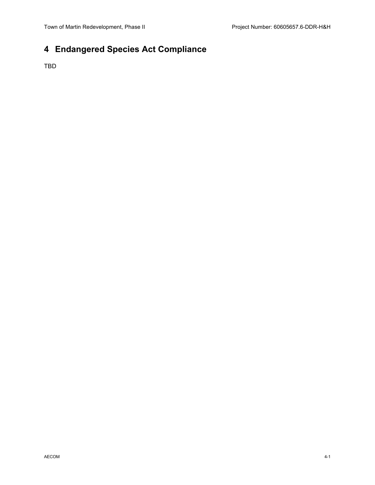## <span id="page-8-0"></span>**4 Endangered Species Act Compliance**

TBD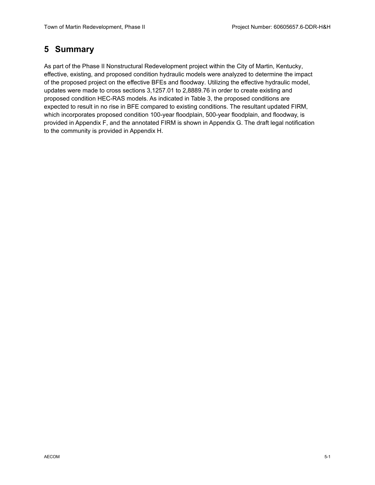## <span id="page-9-0"></span>**5 Summary**

 As part of the Phase II Nonstructural Redevelopment project within the City of Martin, Kentucky, effective, existing, and proposed condition hydraulic models were analyzed to determine the impact updates were made to cross sections [3,1257.01](https://3,1257.01) to [2,8889.76](https://2,8889.76) in order to create existing and which incorporates proposed condition 100-year floodplain, 500-year floodplain, and floodway, is provided in Appendix F, and the annotated FIRM is shown in Appendix G. The draft legal notification to the community is provided in Appendix H. of the proposed project on the effective BFEs and floodway. Utilizing the effective hydraulic model, proposed condition HEC-RAS models. As indicated in Table 3, the proposed conditions are expected to result in no rise in BFE compared to existing conditions. The resultant updated FIRM,